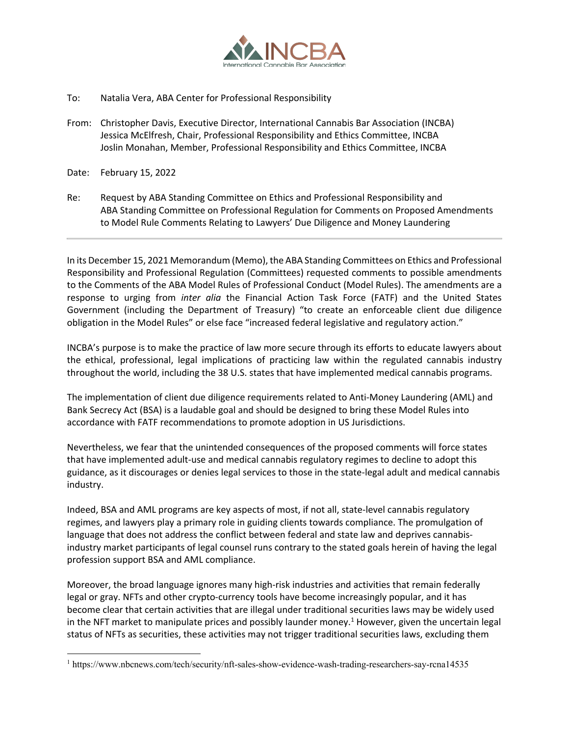

- To: Natalia Vera, ABA Center for Professional Responsibility
- From: Christopher Davis, Executive Director, International Cannabis Bar Association (INCBA) Jessica McElfresh, Chair, Professional Responsibility and Ethics Committee, INCBA Joslin Monahan, Member, Professional Responsibility and Ethics Committee, INCBA
- Date: February 15, 2022
- Re: Request by ABA Standing Committee on Ethics and Professional Responsibility and ABA Standing Committee on Professional Regulation for Comments on Proposed Amendments to Model Rule Comments Relating to Lawyers' Due Diligence and Money Laundering

In its December 15, 2021 Memorandum (Memo), the ABA Standing Committees on Ethics and Professional Responsibility and Professional Regulation (Committees) requested comments to possible amendments to the Comments of the ABA Model Rules of Professional Conduct (Model Rules). The amendments are a response to urging from *inter alia* the Financial Action Task Force (FATF) and the United States Government (including the Department of Treasury) "to create an enforceable client due diligence obligation in the Model Rules" or else face "increased federal legislative and regulatory action."

INCBA's purpose is to make the practice of law more secure through its efforts to educate lawyers about the ethical, professional, legal implications of practicing law within the regulated cannabis industry throughout the world, including the 38 U.S. states that have implemented medical cannabis programs.

The implementation of client due diligence requirements related to Anti-Money Laundering (AML) and Bank Secrecy Act (BSA) is a laudable goal and should be designed to bring these Model Rules into accordance with FATF recommendations to promote adoption in US Jurisdictions.

Nevertheless, we fear that the unintended consequences of the proposed comments will force states that have implemented adult-use and medical cannabis regulatory regimes to decline to adopt this guidance, as it discourages or denies legal services to those in the state-legal adult and medical cannabis industry.

Indeed, BSA and AML programs are key aspects of most, if not all, state-level cannabis regulatory regimes, and lawyers play a primary role in guiding clients towards compliance. The promulgation of language that does not address the conflict between federal and state law and deprives cannabisindustry market participants of legal counsel runs contrary to the stated goals herein of having the legal profession support BSA and AML compliance.

Moreover, the broad language ignores many high-risk industries and activities that remain federally legal or gray. NFTs and other crypto-currency tools have become increasingly popular, and it has become clear that certain activities that are illegal under traditional securities laws may be widely used in the NFT market to manipulate prices and possibly launder money.<sup>1</sup> However, given the uncertain legal status of NFTs as securities, these activities may not trigger traditional securities laws, excluding them

<sup>1</sup> https://www.nbcnews.com/tech/security/nft-sales-show-evidence-wash-trading-researchers-say-rcna14535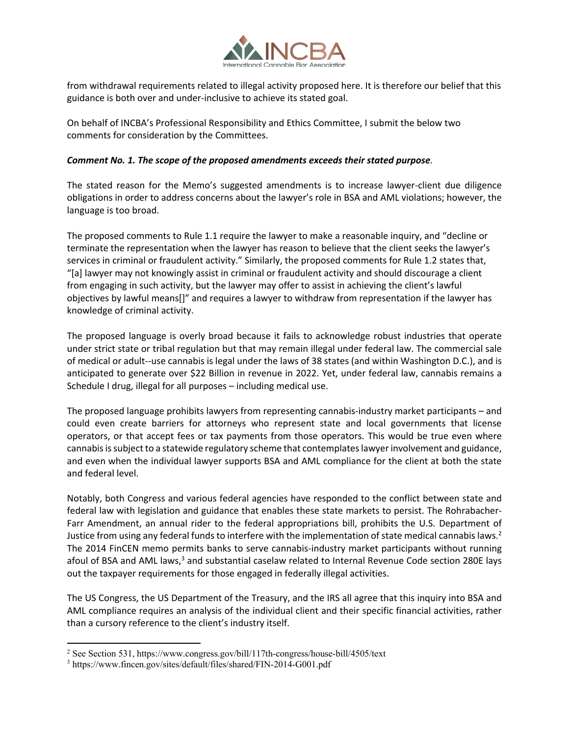

from withdrawal requirements related to illegal activity proposed here. It is therefore our belief that this guidance is both over and under-inclusive to achieve its stated goal.

On behalf of INCBA's Professional Responsibility and Ethics Committee, I submit the below two comments for consideration by the Committees.

## *Comment No. 1. The scope of the proposed amendments exceeds their stated purpose.*

The stated reason for the Memo's suggested amendments is to increase lawyer-client due diligence obligations in order to address concerns about the lawyer's role in BSA and AML violations; however, the language is too broad.

The proposed comments to Rule 1.1 require the lawyer to make a reasonable inquiry, and "decline or terminate the representation when the lawyer has reason to believe that the client seeks the lawyer's services in criminal or fraudulent activity." Similarly, the proposed comments for Rule 1.2 states that, "[a] lawyer may not knowingly assist in criminal or fraudulent activity and should discourage a client from engaging in such activity, but the lawyer may offer to assist in achieving the client's lawful objectives by lawful means[]" and requires a lawyer to withdraw from representation if the lawyer has knowledge of criminal activity.

The proposed language is overly broad because it fails to acknowledge robust industries that operate under strict state or tribal regulation but that may remain illegal under federal law. The commercial sale of medical or adult--use cannabis is legal under the laws of 38 states (and within Washington D.C.), and is anticipated to generate over \$22 Billion in revenue in 2022. Yet, under federal law, cannabis remains a Schedule I drug, illegal for all purposes – including medical use.

The proposed language prohibits lawyers from representing cannabis-industry market participants – and could even create barriers for attorneys who represent state and local governments that license operators, or that accept fees or tax payments from those operators. This would be true even where cannabis is subject to a statewide regulatory scheme that contemplates lawyer involvement and guidance, and even when the individual lawyer supports BSA and AML compliance for the client at both the state and federal level.

Notably, both Congress and various federal agencies have responded to the conflict between state and federal law with legislation and guidance that enables these state markets to persist. The Rohrabacher-Farr Amendment, an annual rider to the federal appropriations bill, prohibits the U.S. Department of Justice from using any federal funds to interfere with the implementation of state medical cannabis laws.<sup>2</sup> The 2014 FinCEN memo permits banks to serve cannabis-industry market participants without running afoul of BSA and AML laws,<sup>3</sup> and substantial caselaw related to Internal Revenue Code section 280E lays out the taxpayer requirements for those engaged in federally illegal activities.

The US Congress, the US Department of the Treasury, and the IRS all agree that this inquiry into BSA and AML compliance requires an analysis of the individual client and their specific financial activities, rather than a cursory reference to the client's industry itself.

<sup>2</sup> See Section 531, https://www.congress.gov/bill/117th-congress/house-bill/4505/text

<sup>3</sup> https://www.fincen.gov/sites/default/files/shared/FIN-2014-G001.pdf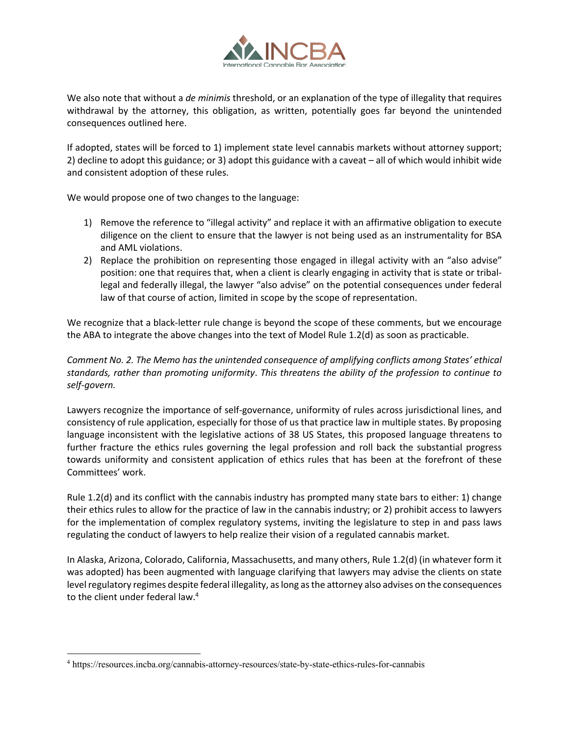

We also note that without a *de minimis* threshold, or an explanation of the type of illegality that requires withdrawal by the attorney, this obligation, as written, potentially goes far beyond the unintended consequences outlined here.

If adopted, states will be forced to 1) implement state level cannabis markets without attorney support; 2) decline to adopt this guidance; or 3) adopt this guidance with a caveat – all of which would inhibit wide and consistent adoption of these rules.

We would propose one of two changes to the language:

- 1) Remove the reference to "illegal activity" and replace it with an affirmative obligation to execute diligence on the client to ensure that the lawyer is not being used as an instrumentality for BSA and AML violations.
- 2) Replace the prohibition on representing those engaged in illegal activity with an "also advise" position: one that requires that, when a client is clearly engaging in activity that is state or triballegal and federally illegal, the lawyer "also advise" on the potential consequences under federal law of that course of action, limited in scope by the scope of representation.

We recognize that a black-letter rule change is beyond the scope of these comments, but we encourage the ABA to integrate the above changes into the text of Model Rule 1.2(d) as soon as practicable.

*Comment No. 2. The Memo has the unintended consequence of amplifying conflicts among States' ethical standards, rather than promoting uniformity*. *This threatens the ability of the profession to continue to self-govern.* 

Lawyers recognize the importance of self-governance, uniformity of rules across jurisdictional lines, and consistency of rule application, especially for those of us that practice law in multiple states. By proposing language inconsistent with the legislative actions of 38 US States, this proposed language threatens to further fracture the ethics rules governing the legal profession and roll back the substantial progress towards uniformity and consistent application of ethics rules that has been at the forefront of these Committees' work.

Rule 1.2(d) and its conflict with the cannabis industry has prompted many state bars to either: 1) change their ethics rules to allow for the practice of law in the cannabis industry; or 2) prohibit access to lawyers for the implementation of complex regulatory systems, inviting the legislature to step in and pass laws regulating the conduct of lawyers to help realize their vision of a regulated cannabis market.

In Alaska, Arizona, Colorado, California, Massachusetts, and many others, Rule 1.2(d) (in whatever form it was adopted) has been augmented with language clarifying that lawyers may advise the clients on state level regulatory regimes despite federal illegality, as long as the attorney also advises on the consequences to the client under federal law.<sup>4</sup>

<sup>4</sup> https://resources.incba.org/cannabis-attorney-resources/state-by-state-ethics-rules-for-cannabis